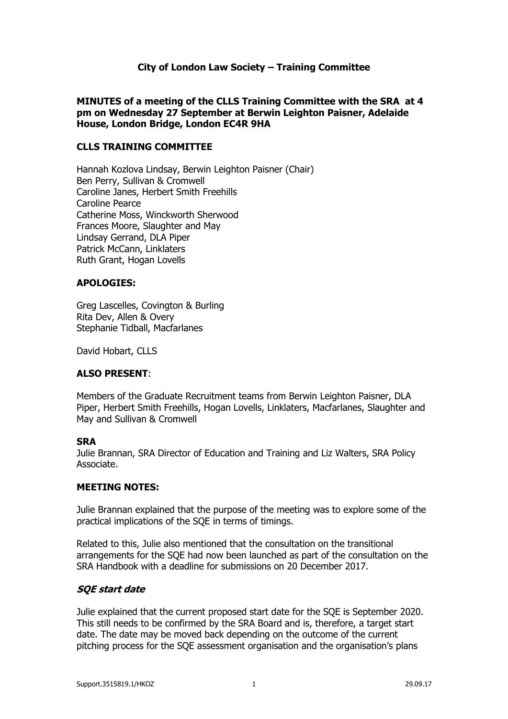## **City of London Law Society – Training Committee**

#### **MINUTES of a meeting of the CLLS Training Committee with the SRA at 4 pm on Wednesday 27 September at Berwin Leighton Paisner, Adelaide House, London Bridge, London EC4R 9HA**

#### **CLLS TRAINING COMMITTEE**

Hannah Kozlova Lindsay, Berwin Leighton Paisner (Chair) Ben Perry, Sullivan & Cromwell Caroline Janes, Herbert Smith Freehills Caroline Pearce Catherine Moss, Winckworth Sherwood Frances Moore, Slaughter and May Lindsay Gerrand, DLA Piper Patrick McCann, Linklaters Ruth Grant, Hogan Lovells

#### **APOLOGIES:**

Greg Lascelles, Covington & Burling Rita Dev, Allen & Overy Stephanie Tidball, Macfarlanes

David Hobart, CLLS

#### **ALSO PRESENT**:

Members of the Graduate Recruitment teams from Berwin Leighton Paisner, DLA Piper, Herbert Smith Freehills, Hogan Lovells, Linklaters, Macfarlanes, Slaughter and May and Sullivan & Cromwell

#### **SRA**

Julie Brannan, SRA Director of Education and Training and Liz Walters, SRA Policy Associate.

#### **MEETING NOTES:**

Julie Brannan explained that the purpose of the meeting was to explore some of the practical implications of the SQE in terms of timings.

Related to this, Julie also mentioned that the consultation on the transitional arrangements for the SQE had now been launched as part of the consultation on the SRA Handbook with a deadline for submissions on 20 December 2017.

#### **SQE start date**

Julie explained that the current proposed start date for the SQE is September 2020. This still needs to be confirmed by the SRA Board and is, therefore, a target start date. The date may be moved back depending on the outcome of the current pitching process for the SQE assessment organisation and the organisation's plans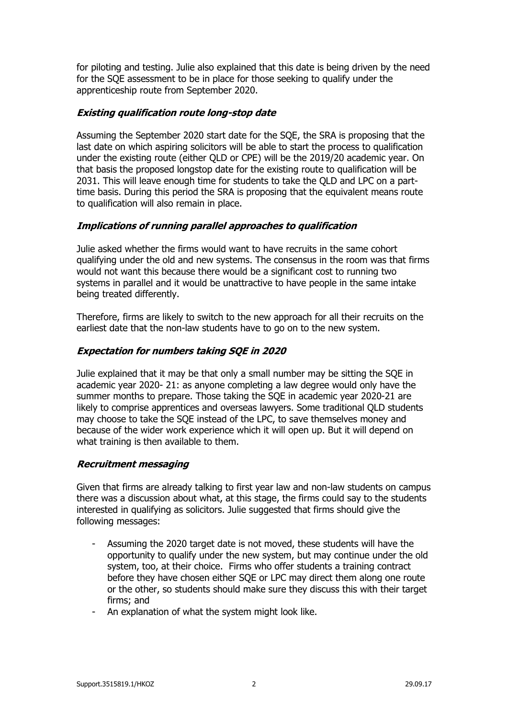for piloting and testing. Julie also explained that this date is being driven by the need for the SQE assessment to be in place for those seeking to qualify under the apprenticeship route from September 2020.

## **Existing qualification route long-stop date**

Assuming the September 2020 start date for the SQE, the SRA is proposing that the last date on which aspiring solicitors will be able to start the process to qualification under the existing route (either QLD or CPE) will be the 2019/20 academic year. On that basis the proposed longstop date for the existing route to qualification will be 2031. This will leave enough time for students to take the QLD and LPC on a parttime basis. During this period the SRA is proposing that the equivalent means route to qualification will also remain in place.

## **Implications of running parallel approaches to qualification**

Julie asked whether the firms would want to have recruits in the same cohort qualifying under the old and new systems. The consensus in the room was that firms would not want this because there would be a significant cost to running two systems in parallel and it would be unattractive to have people in the same intake being treated differently.

Therefore, firms are likely to switch to the new approach for all their recruits on the earliest date that the non-law students have to go on to the new system.

# **Expectation for numbers taking SQE in 2020**

Julie explained that it may be that only a small number may be sitting the SQE in academic year 2020- 21: as anyone completing a law degree would only have the summer months to prepare. Those taking the SQE in academic year 2020-21 are likely to comprise apprentices and overseas lawyers. Some traditional QLD students may choose to take the SQE instead of the LPC, to save themselves money and because of the wider work experience which it will open up. But it will depend on what training is then available to them.

## **Recruitment messaging**

Given that firms are already talking to first year law and non-law students on campus there was a discussion about what, at this stage, the firms could say to the students interested in qualifying as solicitors. Julie suggested that firms should give the following messages:

- Assuming the 2020 target date is not moved, these students will have the opportunity to qualify under the new system, but may continue under the old system, too, at their choice. Firms who offer students a training contract before they have chosen either SQE or LPC may direct them along one route or the other, so students should make sure they discuss this with their target firms; and
- An explanation of what the system might look like.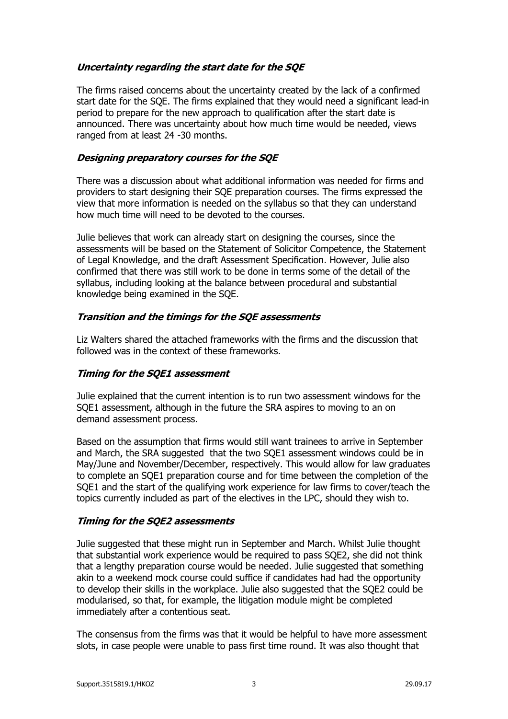# **Uncertainty regarding the start date for the SQE**

The firms raised concerns about the uncertainty created by the lack of a confirmed start date for the SQE. The firms explained that they would need a significant lead-in period to prepare for the new approach to qualification after the start date is announced. There was uncertainty about how much time would be needed, views ranged from at least 24 -30 months.

## **Designing preparatory courses for the SQE**

There was a discussion about what additional information was needed for firms and providers to start designing their SQE preparation courses. The firms expressed the view that more information is needed on the syllabus so that they can understand how much time will need to be devoted to the courses.

Julie believes that work can already start on designing the courses, since the assessments will be based on the Statement of Solicitor Competence, the Statement of Legal Knowledge, and the draft Assessment Specification. However, Julie also confirmed that there was still work to be done in terms some of the detail of the syllabus, including looking at the balance between procedural and substantial knowledge being examined in the SQE.

## **Transition and the timings for the SQE assessments**

Liz Walters shared the attached frameworks with the firms and the discussion that followed was in the context of these frameworks.

## **Timing for the SQE1 assessment**

Julie explained that the current intention is to run two assessment windows for the SQE1 assessment, although in the future the SRA aspires to moving to an on demand assessment process.

Based on the assumption that firms would still want trainees to arrive in September and March, the SRA suggested that the two SQE1 assessment windows could be in May/June and November/December, respectively. This would allow for law graduates to complete an SQE1 preparation course and for time between the completion of the SQE1 and the start of the qualifying work experience for law firms to cover/teach the topics currently included as part of the electives in the LPC, should they wish to.

## **Timing for the SQE2 assessments**

Julie suggested that these might run in September and March. Whilst Julie thought that substantial work experience would be required to pass SQE2, she did not think that a lengthy preparation course would be needed. Julie suggested that something akin to a weekend mock course could suffice if candidates had had the opportunity to develop their skills in the workplace. Julie also suggested that the SQE2 could be modularised, so that, for example, the litigation module might be completed immediately after a contentious seat.

The consensus from the firms was that it would be helpful to have more assessment slots, in case people were unable to pass first time round. It was also thought that